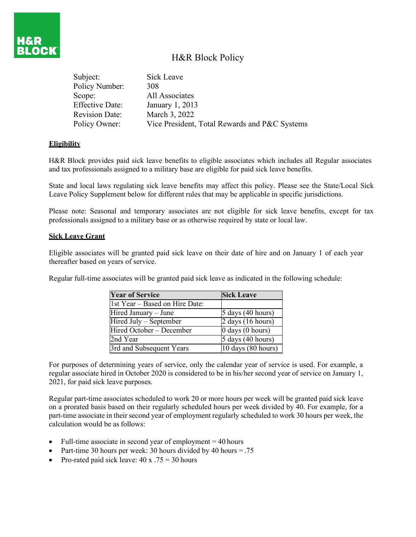

| Subject:               | Sick Leave                                    |
|------------------------|-----------------------------------------------|
| Policy Number:         | 308                                           |
| Scope:                 | All Associates                                |
| <b>Effective Date:</b> | January 1, 2013                               |
| <b>Revision Date:</b>  | March 3, 2022                                 |
| Policy Owner:          | Vice President, Total Rewards and P&C Systems |

## **Eligibility**

н8і

H&R Block provides paid sick leave benefits to eligible associates which includes all Regular associates and tax professionals assigned to a military base are eligible for paid sick leave benefits.

State and local laws regulating sick leave benefits may affect this policy. Please see the State/Local Sick Leave Policy Supplement below for different rules that may be applicable in specific jurisdictions.

Please note: Seasonal and temporary associates are not eligible for sick leave benefits, except for tax professionals assigned to a military base or as otherwise required by state or local law.

#### **Sick Leave Grant**

Eligible associates will be granted paid sick leave on their date of hire and on January 1 of each year thereafter based on years of service.

Regular full-time associates will be granted paid sick leave as indicated in the following schedule:

| <b>Year of Service</b>         | <b>Sick Leave</b>            |  |
|--------------------------------|------------------------------|--|
| 1st Year - Based on Hire Date: |                              |  |
| Hired January - June           | $5 \text{ days}$ (40 hours)  |  |
| Hired July – September         | 2 days (16 hours)            |  |
| Hired October – December       | $0 \text{ days}$ (0 hours)   |  |
| l2nd Year                      | $5$ days (40 hours)          |  |
| 3rd and Subsequent Years       | 10 days $(80 \text{ hours})$ |  |

For purposes of determining years of service, only the calendar year of service is used. For example, a regular associate hired in October 2020 is considered to be in his/her second year of service on January 1, 2021, for paid sick leave purposes.

Regular part-time associates scheduled to work 20 or more hours per week will be granted paid sick leave on a prorated basis based on their regularly scheduled hours per week divided by 40. For example, for a part-time associate in their second year of employment regularly scheduled to work 30 hours per week, the calculation would be as follows:

- Full-time associate in second year of employment  $= 40$  hours
- Part-time 30 hours per week: 30 hours divided by 40 hours  $= .75$
- Pro-rated paid sick leave:  $40 \times .75 = 30$  hours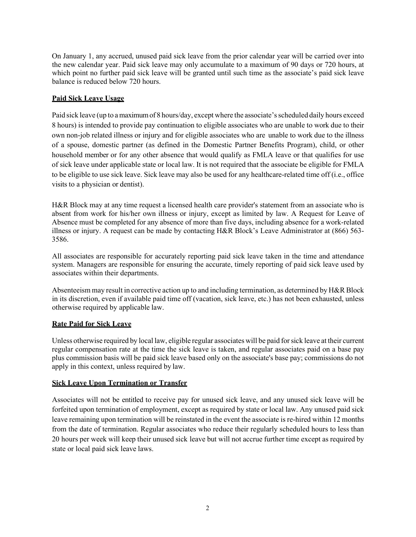On January 1, any accrued, unused paid sick leave from the prior calendar year will be carried over into the new calendar year. Paid sick leave may only accumulate to a maximum of 90 days or 720 hours, at which point no further paid sick leave will be granted until such time as the associate's paid sick leave balance is reduced below 720 hours.

## **Paid Sick Leave Usage**

Paid sick leave (up to a maximum of 8 hours/day, except where the associate's scheduled daily hours exceed 8 hours) is intended to provide pay continuation to eligible associates who are unable to work due to their own non-job related illness or injury and for eligible associates who are unable to work due to the illness of a spouse, domestic partner (as defined in the Domestic Partner Benefits Program), child, or other household member or for any other absence that would qualify as FMLA leave or that qualifies for use of sick leave under applicable state or local law. It is not required that the associate be eligible for FMLA to be eligible to use sick leave. Sick leave may also be used for any healthcare-related time off (i.e., office visits to a physician or dentist).

H&R Block may at any time request a licensed health care provider's statement from an associate who is absent from work for his/her own illness or injury, except as limited by law. A Request for Leave of Absence must be completed for any absence of more than five days, including absence for a work-related illness or injury. A request can be made by contacting H&R Block's Leave Administrator at (866) 563- 3586.

All associates are responsible for accurately reporting paid sick leave taken in the time and attendance system. Managers are responsible for ensuring the accurate, timely reporting of paid sick leave used by associates within their departments.

Absenteeism may result in corrective action up to and including termination, as determined by H&R Block in its discretion, even if available paid time off (vacation, sick leave, etc.) has not been exhausted, unless otherwise required by applicable law.

#### **Rate Paid for Sick Leave**

Unless otherwise required by local law, eligible regular associates will be paid forsick leave at their current regular compensation rate at the time the sick leave is taken, and regular associates paid on a base pay plus commission basis will be paid sick leave based only on the associate's base pay; commissions do not apply in this context, unless required by law.

#### **Sick Leave Upon Termination or Transfer**

Associates will not be entitled to receive pay for unused sick leave, and any unused sick leave will be forfeited upon termination of employment, except as required by state or local law. Any unused paid sick leave remaining upon termination will be reinstated in the event the associate is re-hired within 12 months from the date of termination. Regular associates who reduce their regularly scheduled hours to less than 20 hours per week will keep their unused sick leave but will not accrue further time except as required by state or local paid sick leave laws.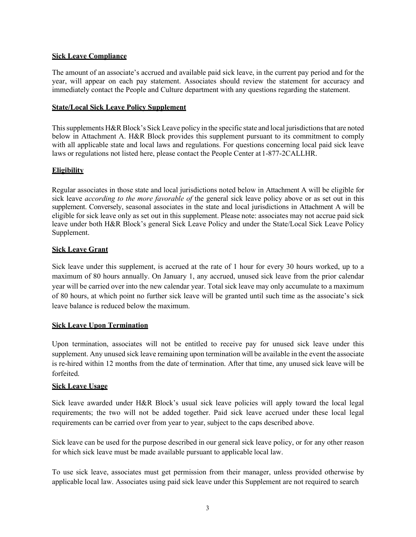## **Sick Leave Compliance**

The amount of an associate's accrued and available paid sick leave, in the current pay period and for the year, will appear on each pay statement. Associates should review the statement for accuracy and immediately contact the People and Culture department with any questions regarding the statement.

#### **State/Local Sick Leave Policy Supplement**

This supplements H&R Block's Sick Leave policy in the specific state and local jurisdictions that are noted below in Attachment A. H&R Block provides this supplement pursuant to its commitment to comply with all applicable state and local laws and regulations. For questions concerning local paid sick leave laws or regulations not listed here, please contact the People Center at 1-877-2CALLHR.

#### **Eligibility**

Regular associates in those state and local jurisdictions noted below in Attachment A will be eligible for sick leave *according to the more favorable of* the general sick leave policy above or as set out in this supplement. Conversely, seasonal associates in the state and local jurisdictions in Attachment A will be eligible for sick leave only as set out in this supplement. Please note: associates may not accrue paid sick leave under both H&R Block's general Sick Leave Policy and under the State/Local Sick Leave Policy Supplement.

#### **Sick Leave Grant**

Sick leave under this supplement, is accrued at the rate of 1 hour for every 30 hours worked, up to a maximum of 80 hours annually. On January 1, any accrued, unused sick leave from the prior calendar year will be carried over into the new calendar year. Total sick leave may only accumulate to a maximum of 80 hours, at which point no further sick leave will be granted until such time as the associate's sick leave balance is reduced below the maximum.

## **Sick Leave Upon Termination**

Upon termination, associates will not be entitled to receive pay for unused sick leave under this supplement. Any unused sick leave remaining upon termination will be available in the event the associate is re-hired within 12 months from the date of termination. After that time, any unused sick leave will be forfeited.

## **Sick Leave Usage**

Sick leave awarded under H&R Block's usual sick leave policies will apply toward the local legal requirements; the two will not be added together. Paid sick leave accrued under these local legal requirements can be carried over from year to year, subject to the caps described above.

Sick leave can be used for the purpose described in our general sick leave policy, or for any other reason for which sick leave must be made available pursuant to applicable local law.

To use sick leave, associates must get permission from their manager, unless provided otherwise by applicable local law. Associates using paid sick leave under this Supplement are not required to search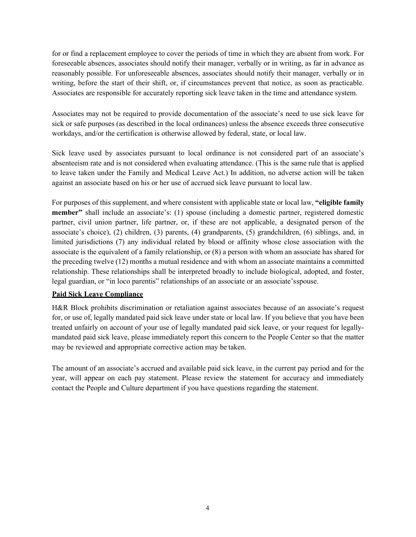for or find a replacement employee to cover the periods of time in which they are absent from work. For foreseeable absences, associates should notify their manager, verbally or in writing, as far in advance as reasonably possible. For unforeseeable absences, associates should notify their manager, verbally or in writing, before the start of their shift, or, if circumstances prevent that notice, as soon as practicable. Associates are responsible for accurately reporting sick leave taken in the time and attendance system.

Associates may not be required to provide documentation of the associate's need to use sick leave for sick or safe purposes (as described in the local ordinances) unless the absence exceeds three consecutive workdays, and/or the certification is otherwise allowed by federal, state, or local law.

Sick leave used by associates pursuant to local ordinance is not considered part of an associate's absenteeism rate and is not considered when evaluating attendance. (This is the same rule that is applied to leave taken under the Family and Medical Leave Act.) In addition, no adverse action will be taken against an associate based on his or her use of accrued sick leave pursuant to local law.

For purposes of this supplement, and where consistent with applicable state or local law, **"eligible family member**" shall include an associate's: (1) spouse (including a domestic partner, registered domestic partner, civil union partner, life partner, or, if these are not applicable, a designated person of the associate's choice), (2) children, (3) parents, (4) grandparents, (5) grandchildren, (6) siblings, and, in limited jurisdictions (7) any individual related by blood or affinity whose close association with the associate is the equivalent of a family relationship, or (8) a person with whom an associate has shared for the preceding twelve (12) months a mutual residence and with whom an associate maintains a committed relationship. These relationships shall be interpreted broadly to include biological, adopted, and foster, legal guardian, or "in loco parentis" relationships of an associate or an associate'sspouse.

## **Paid Sick Leave Compliance**

H&R Block prohibits discrimination or retaliation against associates because of an associate's request for, or use of, legally mandated paid sick leave under state or local law. If you believe that you have been treated unfairly on account of your use of legally mandated paid sick leave, or your request for legallymandated paid sick leave, please immediately report this concern to the People Center so that the matter may be reviewed and appropriate corrective action may be taken.

The amount of an associate's accrued and available paid sick leave, in the current pay period and for the year, will appear on each pay statement. Please review the statement for accuracy and immediately contact the People and Culture department if you have questions regarding the statement.